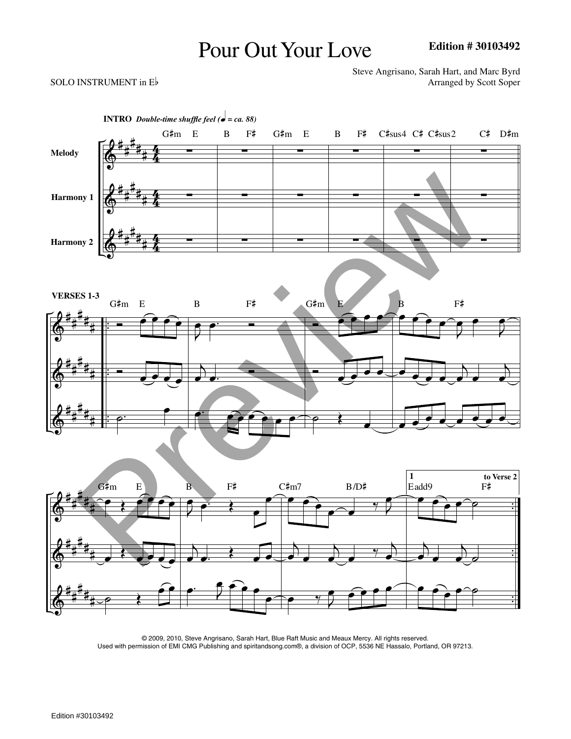## Pour Out Your Love

## SOLO INSTRUMENT in  $E$ <sup>b</sup>

Steve Angrisano, Sarah Hart, and Marc Byrd



© 2009, 2010, Steve Angrisano, Sarah Hart, Blue Raft Music and Meaux Mercy. All rights reserved. Used with permission of EMI CMG Publishing and spiritandsong.com®, a division of OCP, 5536 NE Hassalo, Portland, OR 97213.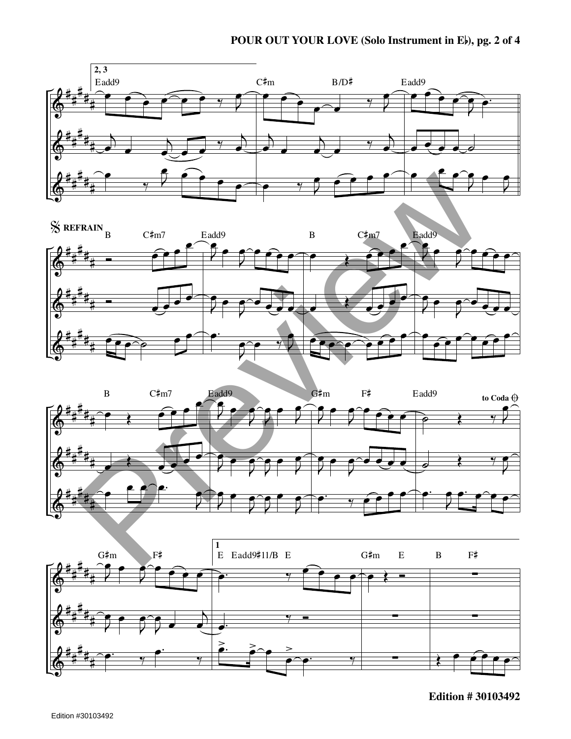







**Edition # 30103492**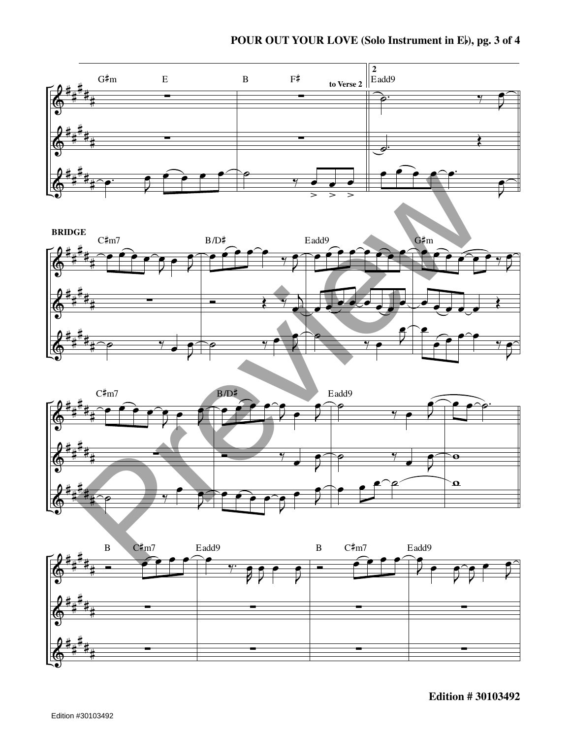## **POUR OUT YOUR LOVE (Solo Instrument in <sup>E</sup>), pg. <sup>3</sup> of <sup>4</sup>**